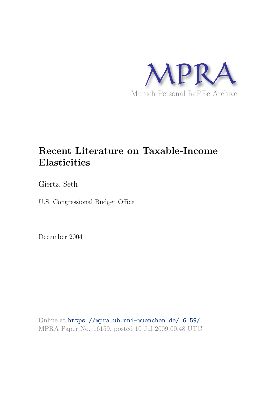

# **Recent Literature on Taxable-Income Elasticities**

Giertz, Seth

U.S. Congressional Budget Office

December 2004

Online at https://mpra.ub.uni-muenchen.de/16159/ MPRA Paper No. 16159, posted 10 Jul 2009 00:48 UTC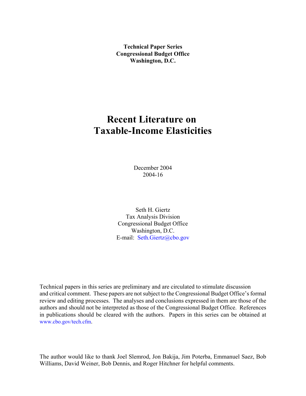**Technical Paper Series Congressional Budget Office Washington, D.C.**

# **Recent Literature on Taxable-Income Elasticities**

December 2004 2004-16

Seth H. Giertz Tax Analysis Division Congressional Budget Office Washington, D.C. E-mail: Seth.Giertz@cbo.gov

Technical papers in this series are preliminary and are circulated to stimulate discussion and critical comment. These papers are not subject to the Congressional Budget Office's formal review and editing processes. The analyses and conclusions expressed in them are those of the authors and should not be interpreted as those of the Congressional Budget Office. References in publications should be cleared with the authors. Papers in this series can be obtained at www.cbo.gov/tech.cfm.

The author would like to thank Joel Slemrod, Jon Bakija, Jim Poterba, Emmanuel Saez, Bob Williams, David Weiner, Bob Dennis, and Roger Hitchner for helpful comments.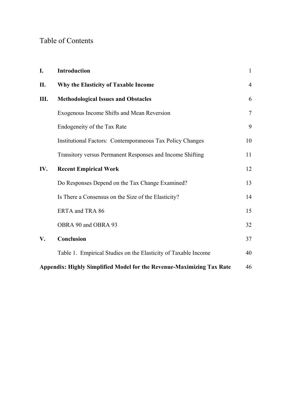# Table of Contents

| I.                                                                    | Introduction                                                     | $\mathbf{1}$ |  |  |  |  |  |
|-----------------------------------------------------------------------|------------------------------------------------------------------|--------------|--|--|--|--|--|
| П.                                                                    | Why the Elasticity of Taxable Income                             |              |  |  |  |  |  |
| Ш.                                                                    | <b>Methodological Issues and Obstacles</b>                       |              |  |  |  |  |  |
|                                                                       | Exogenous Income Shifts and Mean Reversion                       | $\tau$       |  |  |  |  |  |
|                                                                       | Endogeneity of the Tax Rate                                      | 9            |  |  |  |  |  |
|                                                                       | <b>Institutional Factors: Contemporaneous Tax Policy Changes</b> | 10           |  |  |  |  |  |
|                                                                       | Transitory versus Permanent Responses and Income Shifting        | 11           |  |  |  |  |  |
| IV.                                                                   | <b>Recent Empirical Work</b>                                     | 12           |  |  |  |  |  |
|                                                                       | Do Responses Depend on the Tax Change Examined?                  | 13           |  |  |  |  |  |
|                                                                       | Is There a Consensus on the Size of the Elasticity?              | 14           |  |  |  |  |  |
|                                                                       | ERTA and TRA 86                                                  | 15           |  |  |  |  |  |
|                                                                       | OBRA 90 and OBRA 93                                              | 32           |  |  |  |  |  |
| V.                                                                    | Conclusion                                                       | 37           |  |  |  |  |  |
|                                                                       | Table 1. Empirical Studies on the Elasticity of Taxable Income   | 40           |  |  |  |  |  |
| Appendix: Highly Simplified Model for the Revenue-Maximizing Tax Rate |                                                                  |              |  |  |  |  |  |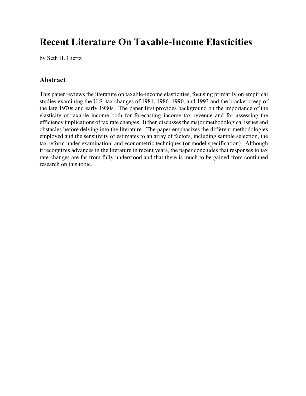# **Recent Literature On Taxable-Income Elasticities**

by Seth H. Giertz

# **Abstract**

This paper reviews the literature on taxable-income elasticities, focusing primarily on empirical studies examining the U.S. tax changes of 1981, 1986, 1990, and 1993 and the bracket creep of the late 1970s and early 1980s. The paper first provides background on the importance of the elasticity of taxable income both for forecasting income tax revenue and for assessing the efficiency implications of tax rate changes. It then discusses the major methodological issues and obstacles before delving into the literature. The paper emphasizes the different methodologies employed and the sensitivity of estimates to an array of factors, including sample selection, the tax reform under examination, and econometric techniques (or model specification). Although it recognizes advances in the literature in recent years, the paper concludes that responses to tax rate changes are far from fully understood and that there is much to be gained from continued research on this topic.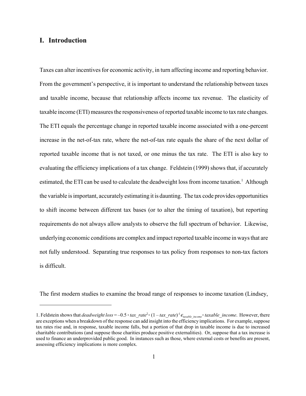# **I. Introduction**

Taxes can alter incentives for economic activity, in turn affecting income and reporting behavior. From the government's perspective, it is important to understand the relationship between taxes and taxable income, because that relationship affects income tax revenue. The elasticity of taxable income (ETI) measures the responsiveness of reported taxable income to tax rate changes. The ETI equals the percentage change in reported taxable income associated with a one-percent increase in the net-of-tax rate, where the net-of-tax rate equals the share of the next dollar of reported taxable income that is not taxed, or one minus the tax rate. The ETI is also key to evaluating the efficiency implications of a tax change. Feldstein (1999) shows that, if accurately estimated, the ETI can be used to calculate the deadweight loss from income taxation.<sup>1</sup> Although the variable isimportant, accurately estimating it is daunting. The tax code provides opportunities to shift income between different tax bases (or to alter the timing of taxation), but reporting requirements do not always allow analysts to observe the full spectrum of behavior. Likewise, underlying economic conditions are complex and impact reported taxable income in ways that are not fully understood. Separating true responses to tax policy from responses to non-tax factors is difficult.

The first modern studies to examine the broad range of responses to income taxation (Lindsey,

<sup>1.</sup> Feldstein shows that *deadweight loss* = -0.5  $\cdot$  *tax\_rate*<sup>2</sup> $\cdot$  (1 – *tax\_rate*)<sup>-1</sup> $\epsilon_{\text{taxable income}}$  $\cdot$  *taxable\_income*. However, there are exceptions when a breakdown of the response can add insight into the efficiency implications. For example, suppose tax rates rise and, in response, taxable income falls, but a portion of that drop in taxable income is due to increased charitable contributions (and suppose those charities produce positive externalities). Or, suppose that a tax increase is used to finance an underprovided public good. In instances such as those, where external costs or benefits are present, assessing efficiency implications is more complex.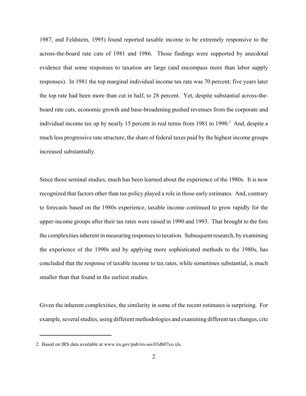1987, and Feldstein, 1995) found reported taxable income to be extremely responsive to the across-the-board rate cuts of 1981 and 1986. Those findings were supported by anecdotal evidence that some responses to taxation are large (and encompass more than labor supply responses). In 1981 the top marginal individual income tax rate was 70 percent; five years later the top rate had been more than cut in half, to 28 percent. Yet, despite substantial across-theboard rate cuts, economic growth and base-broadening pushed revenues from the corporate and individual income tax up by nearly 15 percent in real terms from 1981 to 1990.<sup>2</sup> And, despite a much less progressive rate structure, the share of federal taxes paid by the highest income groups increased substantially.

Since those seminal studies, much has been learned about the experience of the 1980s. It is now recognized that factors other than tax policy played a role in those early estimates. And, contrary to forecasts based on the 1980s experience, taxable income continued to grow rapidly for the upper-income groups after their tax rates were raised in 1990 and 1993. That brought to the fore the complexities inherent in measuring responses to taxation. Subsequent research, by examining the experience of the 1990s and by applying more sophisticated methods to the 1980s, has concluded that the response of taxable income to tax rates, while sometimes substantial, is much smaller than that found in the earliest studies.

Given the inherent complexities, the similarity in some of the recent estimates is surprising. For example, several studies, using different methodologies and examining different tax changes, cite

<sup>2.</sup> Based on IRS data available at www.irs.gov/pub/irs-soi/03db07co.xls.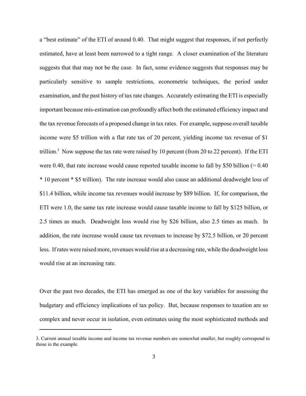a "best estimate" of the ETI of around 0.40. That might suggest that responses, if not perfectly estimated, have at least been narrowed to a tight range. A closer examination of the literature suggests that that may not be the case. In fact, some evidence suggests that responses may be particularly sensitive to sample restrictions, econometric techniques, the period under examination, and the past history of tax rate changes. Accurately estimating the ETI is especially important because mis-estimation can profoundly affect both the estimated efficiency impact and the tax revenue forecasts of a proposed change in tax rates. For example, suppose overall taxable income were \$5 trillion with a flat rate tax of 20 percent, yielding income tax revenue of \$1 trillion.<sup>3</sup> Now suppose the tax rate were raised by 10 percent (from 20 to 22 percent). If the ETI were 0.40, that rate increase would cause reported taxable income to fall by \$50 billion  $(= 0.40)$ \* 10 percent \* \$5 trillion). The rate increase would also cause an additional deadweight loss of \$11.4 billion, while income tax revenues would increase by \$89 billion. If, for comparison, the ETI were 1.0, the same tax rate increase would cause taxable income to fall by \$125 billion, or 2.5 times as much. Deadweight loss would rise by \$26 billion, also 2.5 times as much. In addition, the rate increase would cause tax revenues to increase by \$72.5 billion, or 20 percent less. If rates were raised more, revenues would rise at a decreasing rate, while the deadweight loss would rise at an increasing rate.

Over the past two decades, the ETI has emerged as one of the key variables for assessing the budgetary and efficiency implications of tax policy. But, because responses to taxation are so complex and never occur in isolation, even estimates using the most sophisticated methods and

<sup>3.</sup> Current annual taxable income and income tax revenue numbers are somewhat smaller, but roughly correspond to those in the example.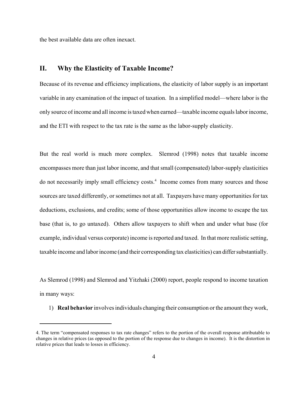the best available data are often inexact.

### **II. Why the Elasticity of Taxable Income?**

Because of its revenue and efficiency implications, the elasticity of labor supply is an important variable in any examination of the impact of taxation. In a simplified model—where labor is the only source of income and all income is taxed when earned—taxable income equals labor income, and the ETI with respect to the tax rate is the same as the labor-supply elasticity.

But the real world is much more complex. Slemrod (1998) notes that taxable income encompasses more than just labor income, and that small (compensated) labor-supply elasticities do not necessarily imply small efficiency costs.<sup>4</sup> Income comes from many sources and those sources are taxed differently, or sometimes not at all. Taxpayers have many opportunities for tax deductions, exclusions, and credits; some of those opportunities allow income to escape the tax base (that is, to go untaxed). Others allow taxpayers to shift when and under what base (for example, individual versus corporate) income is reported and taxed. In that more realistic setting, taxable income and laborincome (and their corresponding tax elasticities) can differ substantially.

As Slemrod (1998) and Slemrod and Yitzhaki (2000) report, people respond to income taxation in many ways:

1) **Real behavior** involvesindividuals changing their consumption orthe amount they work,

<sup>4.</sup> The term "compensated responses to tax rate changes" refers to the portion of the overall response attributable to changes in relative prices (as opposed to the portion of the response due to changes in income). It is the distortion in relative prices that leads to losses in efficiency.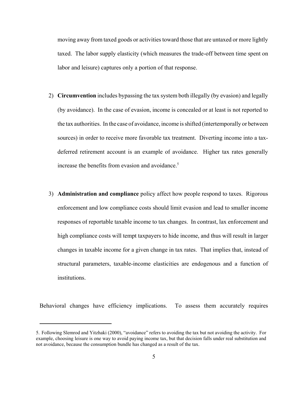moving away from taxed goods or activities toward those that are untaxed or more lightly taxed. The labor supply elasticity (which measures the trade-off between time spent on labor and leisure) captures only a portion of that response.

- 2) **Circumvention** includes bypassing the tax system both illegally (by evasion) and legally (by avoidance). In the case of evasion, income is concealed or at least is not reported to the tax authorities. In the case of avoidance, income is shifted (intertemporally or between sources) in order to receive more favorable tax treatment. Diverting income into a taxdeferred retirement account is an example of avoidance. Higher tax rates generally increase the benefits from evasion and avoidance.<sup>5</sup>
- 3) **Administration and compliance** policy affect how people respond to taxes. Rigorous enforcement and low compliance costs should limit evasion and lead to smaller income responses of reportable taxable income to tax changes. In contrast, lax enforcement and high compliance costs will tempt taxpayers to hide income, and thus will result in larger changes in taxable income for a given change in tax rates. That implies that, instead of structural parameters, taxable-income elasticities are endogenous and a function of institutions.

Behavioral changes have efficiency implications. To assess them accurately requires

<sup>5.</sup> Following Slemrod and Yitzhaki (2000), "avoidance" refers to avoiding the tax but not avoiding the activity. For example, choosing leisure is one way to avoid paying income tax, but that decision falls under real substitution and not avoidance, because the consumption bundle has changed as a result of the tax.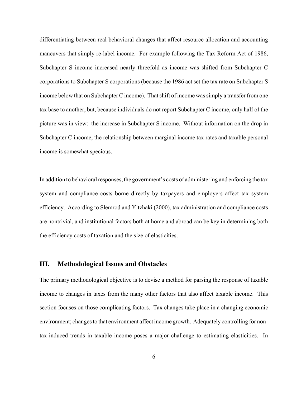differentiating between real behavioral changes that affect resource allocation and accounting maneuvers that simply re-label income. For example following the Tax Reform Act of 1986, Subchapter S income increased nearly threefold as income was shifted from Subchapter C corporations to Subchapter S corporations (because the 1986 act set the tax rate on Subchapter S income below that on Subchapter C income). That shift of income was simply a transfer from one tax base to another, but, because individuals do not report Subchapter C income, only half of the picture was in view: the increase in Subchapter S income. Without information on the drop in Subchapter C income, the relationship between marginal income tax rates and taxable personal income is somewhat specious.

In addition to behavioral responses, the government's costs of administering and enforcing the tax system and compliance costs borne directly by taxpayers and employers affect tax system efficiency. According to Slemrod and Yitzhaki (2000), tax administration and compliance costs are nontrivial, and institutional factors both at home and abroad can be key in determining both the efficiency costs of taxation and the size of elasticities.

### **III. Methodological Issues and Obstacles**

The primary methodological objective is to devise a method for parsing the response of taxable income to changes in taxes from the many other factors that also affect taxable income. This section focuses on those complicating factors. Tax changes take place in a changing economic environment; changes to that environment affect income growth. Adequately controlling for nontax-induced trends in taxable income poses a major challenge to estimating elasticities. In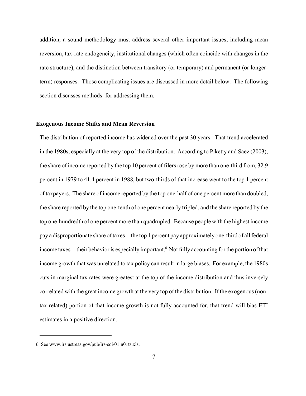addition, a sound methodology must address several other important issues, including mean reversion, tax-rate endogeneity, institutional changes (which often coincide with changes in the rate structure), and the distinction between transitory (or temporary) and permanent (or longerterm) responses. Those complicating issues are discussed in more detail below. The following section discusses methods for addressing them.

### **Exogenous Income Shifts and Mean Reversion**

The distribution of reported income has widened over the past 30 years. That trend accelerated in the 1980s, especially at the very top of the distribution. According to Piketty and Saez (2003), the share of income reported by the top 10 percent of filers rose by more than one-third from, 32.9 percent in 1979 to 41.4 percent in 1988, but two-thirds of that increase went to the top 1 percent of taxpayers. The share of income reported by the top one-half of one percent more than doubled, the share reported by the top one-tenth of one percent nearly tripled, and the share reported by the top one-hundredth of one percent more than quadrupled. Because people with the highest income pay a disproportionate share of taxes—the top 1 percent pay approximately one-third of all federal income taxes—their behavior is especially important.<sup>6</sup> Not fully accounting for the portion of that income growth that was unrelated to tax policy can result in large biases. For example, the 1980s cuts in marginal tax rates were greatest at the top of the income distribution and thus inversely correlated with the great income growth at the very top of the distribution. If the exogenous (nontax-related) portion of that income growth is not fully accounted for, that trend will bias ETI estimates in a positive direction.

<sup>6.</sup> See www.irs.ustreas.gov/pub/irs-soi/01in01ts.xls.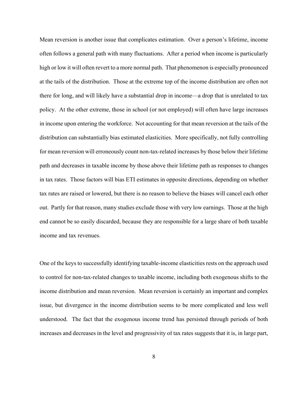Mean reversion is another issue that complicates estimation. Over a person's lifetime, income often follows a general path with many fluctuations. After a period when income is particularly high or low it will often revert to a more normal path. That phenomenon is especially pronounced at the tails of the distribution. Those at the extreme top of the income distribution are often not there for long, and will likely have a substantial drop in income—a drop that is unrelated to tax policy. At the other extreme, those in school (or not employed) will often have large increases in income upon entering the workforce. Not accounting for that mean reversion at the tails of the distribution can substantially bias estimated elasticities. More specifically, not fully controlling for mean reversion will erroneously count non-tax-related increases by those below their lifetime path and decreases in taxable income by those above their lifetime path as responses to changes in tax rates. Those factors will bias ETI estimates in opposite directions, depending on whether tax rates are raised or lowered, but there is no reason to believe the biases will cancel each other out. Partly for that reason, many studies exclude those with very low earnings. Those at the high end cannot be so easily discarded, because they are responsible for a large share of both taxable income and tax revenues.

One of the keys to successfully identifying taxable-income elasticities rests on the approach used to control for non-tax-related changes to taxable income, including both exogenous shifts to the income distribution and mean reversion. Mean reversion is certainly an important and complex issue, but divergence in the income distribution seems to be more complicated and less well understood. The fact that the exogenous income trend has persisted through periods of both increases and decreases in the level and progressivity of tax rates suggests that it is, in large part,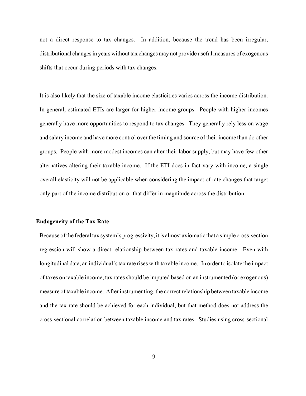not a direct response to tax changes. In addition, because the trend has been irregular, distributional changes in years without tax changes may not provide useful measures of exogenous shifts that occur during periods with tax changes.

It is also likely that the size of taxable income elasticities varies across the income distribution. In general, estimated ETIs are larger for higher-income groups. People with higher incomes generally have more opportunities to respond to tax changes. They generally rely less on wage and salary income and have more control over the timing and source of their income than do other groups. People with more modest incomes can alter their labor supply, but may have few other alternatives altering their taxable income. If the ETI does in fact vary with income, a single overall elasticity will not be applicable when considering the impact of rate changes that target only part of the income distribution or that differ in magnitude across the distribution.

#### **Endogeneity of the Tax Rate**

Because ofthe federal tax system's progressivity, it is almost axiomatic that a simple cross-section regression will show a direct relationship between tax rates and taxable income. Even with longitudinal data, an individual'stax rate rises with taxable income. In order to isolate the impact of taxes on taxable income, tax rates should be imputed based on an instrumented (or exogenous) measure of taxable income. After instrumenting, the correct relationship between taxable income and the tax rate should be achieved for each individual, but that method does not address the cross-sectional correlation between taxable income and tax rates. Studies using cross-sectional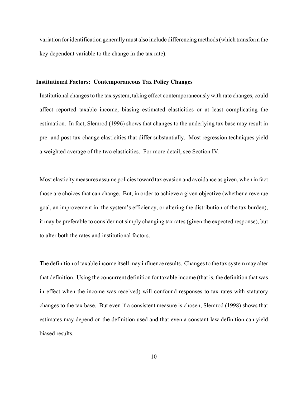variation foridentification generallymust also include differencing methods (which transform the key dependent variable to the change in the tax rate).

#### **Institutional Factors: Contemporaneous Tax Policy Changes**

Institutional changes to the tax system, taking effect contemporaneously with rate changes, could affect reported taxable income, biasing estimated elasticities or at least complicating the estimation. In fact, Slemrod (1996) shows that changes to the underlying tax base may result in pre- and post-tax-change elasticities that differ substantially. Most regression techniques yield a weighted average of the two elasticities. For more detail, see Section IV.

Most elasticity measures assume policies toward tax evasion and avoidance as given, when in fact those are choices that can change. But, in order to achieve a given objective (whether a revenue goal, an improvement in the system's efficiency, or altering the distribution of the tax burden), it may be preferable to consider not simply changing tax rates (given the expected response), but to alter both the rates and institutional factors.

The definition of taxable income itself may influence results. Changes to the tax system may alter that definition. Using the concurrent definition for taxable income (that is, the definition that was in effect when the income was received) will confound responses to tax rates with statutory changes to the tax base. But even if a consistent measure is chosen, Slemrod (1998) shows that estimates may depend on the definition used and that even a constant-law definition can yield biased results.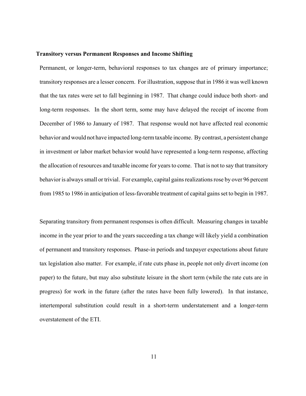#### **Transitory versus Permanent Responses and Income Shifting**

Permanent, or longer-term, behavioral responses to tax changes are of primary importance; transitory responses are a lesser concern. For illustration, suppose that in 1986 it was well known that the tax rates were set to fall beginning in 1987. That change could induce both short- and long-term responses. In the short term, some may have delayed the receipt of income from December of 1986 to January of 1987. That response would not have affected real economic behavior and would not have impacted long-term taxable income. By contrast, a persistent change in investment or labor market behavior would have represented a long-term response, affecting the allocation of resources and taxable income for yearsto come. That is not to say that transitory behavior is alwayssmall or trivial. For example, capital gains realizations rose by over 96 percent from 1985 to 1986 in anticipation of less-favorable treatment of capital gainsset to begin in 1987.

Separating transitory from permanent responses is often difficult. Measuring changes in taxable income in the year prior to and the years succeeding a tax change will likely yield a combination of permanent and transitory responses. Phase-in periods and taxpayer expectations about future tax legislation also matter. For example, if rate cuts phase in, people not only divert income (on paper) to the future, but may also substitute leisure in the short term (while the rate cuts are in progress) for work in the future (after the rates have been fully lowered). In that instance, intertemporal substitution could result in a short-term understatement and a longer-term overstatement of the ETI.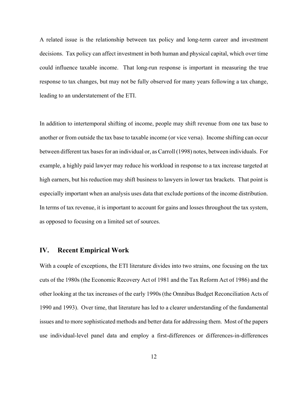A related issue is the relationship between tax policy and long-term career and investment decisions. Tax policy can affect investment in both human and physical capital, which over time could influence taxable income. That long-run response is important in measuring the true response to tax changes, but may not be fully observed for many years following a tax change, leading to an understatement of the ETI.

In addition to intertemporal shifting of income, people may shift revenue from one tax base to another or from outside the tax base to taxable income (or vice versa). Income shifting can occur between different tax bases for an individual or, as Carroll (1998) notes, between individuals. For example, a highly paid lawyer may reduce his workload in response to a tax increase targeted at high earners, but his reduction may shift business to lawyers in lower tax brackets. That point is especially important when an analysis uses data that exclude portions of the income distribution. In terms of tax revenue, it is important to account for gains and losses throughout the tax system, as opposed to focusing on a limited set of sources.

#### **IV. Recent Empirical Work**

With a couple of exceptions, the ETI literature divides into two strains, one focusing on the tax cuts of the 1980s (the Economic Recovery Act of 1981 and the Tax Reform Act of 1986) and the other looking at the tax increases of the early 1990s (the Omnibus Budget Reconciliation Acts of 1990 and 1993). Over time, that literature has led to a clearer understanding of the fundamental issues and to more sophisticated methods and better data for addressing them. Most of the papers use individual-level panel data and employ a first-differences or differences-in-differences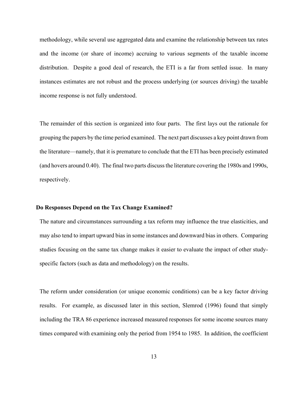methodology, while several use aggregated data and examine the relationship between tax rates and the income (or share of income) accruing to various segments of the taxable income distribution. Despite a good deal of research, the ETI is a far from settled issue. In many instances estimates are not robust and the process underlying (or sources driving) the taxable income response is not fully understood.

The remainder of this section is organized into four parts. The first lays out the rationale for grouping the papers by the time period examined. The next part discusses a key point drawn from the literature—namely, that it is premature to conclude that the ETI has been precisely estimated (and hovers around 0.40). The final two parts discuss the literature covering the 1980s and 1990s, respectively.

#### **Do Responses Depend on the Tax Change Examined?**

The nature and circumstances surrounding a tax reform may influence the true elasticities, and may also tend to impart upward bias in some instances and downward bias in others. Comparing studies focusing on the same tax change makes it easier to evaluate the impact of other studyspecific factors (such as data and methodology) on the results.

The reform under consideration (or unique economic conditions) can be a key factor driving results. For example, as discussed later in this section, Slemrod (1996) found that simply including the TRA 86 experience increased measured responses for some income sources many times compared with examining only the period from 1954 to 1985. In addition, the coefficient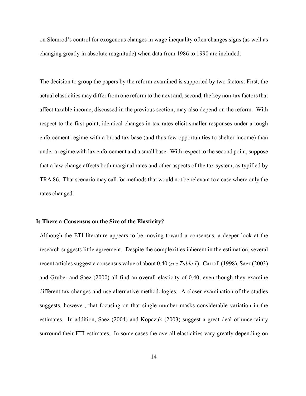on Slemrod's control for exogenous changes in wage inequality often changes signs (as well as changing greatly in absolute magnitude) when data from 1986 to 1990 are included.

The decision to group the papers by the reform examined is supported by two factors: First, the actual elasticities may differ from one reform to the next and, second, the key non-tax factors that affect taxable income, discussed in the previous section, may also depend on the reform. With respect to the first point, identical changes in tax rates elicit smaller responses under a tough enforcement regime with a broad tax base (and thus few opportunities to shelter income) than under a regime with lax enforcement and a small base. With respect to the second point, suppose that a law change affects both marginal rates and other aspects of the tax system, as typified by TRA 86. That scenario may call for methods that would not be relevant to a case where only the rates changed.

#### **Is There a Consensus on the Size of the Elasticity?**

Although the ETI literature appears to be moving toward a consensus, a deeper look at the research suggests little agreement. Despite the complexities inherent in the estimation, several recent articles suggest a consensus value of about 0.40 (*see Table 1*). Carroll (1998), Saez (2003) and Gruber and Saez (2000) all find an overall elasticity of 0.40, even though they examine different tax changes and use alternative methodologies. A closer examination of the studies suggests, however, that focusing on that single number masks considerable variation in the estimates. In addition, Saez (2004) and Kopczuk (2003) suggest a great deal of uncertainty surround their ETI estimates. In some cases the overall elasticities vary greatly depending on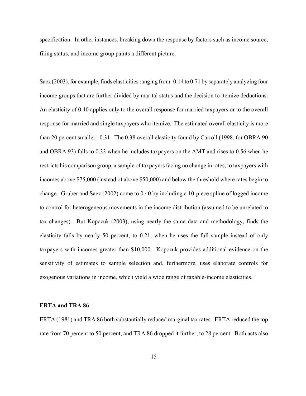specification. In other instances, breaking down the response by factors such as income source, filing status, and income group paints a different picture.

Saez (2003), for example, finds elasticities ranging from -0.14 to 0.71 by separately analyzing four income groups that are further divided by marital status and the decision to itemize deductions. An elasticity of 0.40 applies only to the overall response for married taxpayers or to the overall response for married and single taxpayers who itemize. The estimated overall elasticity is more than 20 percent smaller: 0.31. The 0.38 overall elasticity found by Carroll (1998, for OBRA 90 and OBRA 93) falls to 0.33 when he includes taxpayers on the AMT and rises to 0.56 when he restricts his comparison group, a sample of taxpayers facing no change in rates, to taxpayers with incomes above \$75,000 (instead of above \$50,000) and below the threshold where rates begin to change. Gruber and Saez (2002) come to 0.40 by including a 10-piece spline of logged income to control for heterogeneous movements in the income distribution (assumed to be unrelated to tax changes). But Kopczuk (2003), using nearly the same data and methodology, finds the elasticity falls by nearly 50 percent, to 0.21, when he uses the full sample instead of only taxpayers with incomes greater than \$10,000. Kopczuk provides additional evidence on the sensitivity of estimates to sample selection and, furthermore, uses elaborate controls for exogenous variations in income, which yield a wide range of taxable-income elasticities.

#### **ERTA and TRA 86**

ERTA (1981) and TRA 86 both substantially reduced marginal tax rates. ERTA reduced the top rate from 70 percent to 50 percent, and TRA 86 dropped it further, to 28 percent. Both acts also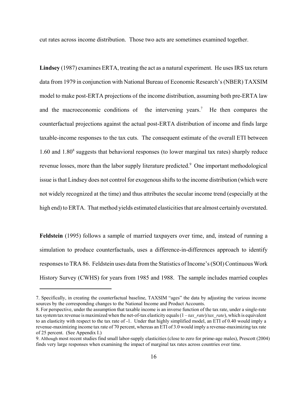cut rates across income distribution. Those two acts are sometimes examined together.

**Lindsey** (1987) examines ERTA, treating the act as a natural experiment. He uses IRS tax return data from 1979 in conjunction with National Bureau of Economic Research's(NBER) TAXSIM model to make post-ERTA projections of the income distribution, assuming both pre-ERTA law and the macroeconomic conditions of the intervening years.<sup>7</sup> He then compares the counterfactual projections against the actual post-ERTA distribution of income and finds large taxable-income responses to the tax cuts. The consequent estimate of the overall ETI between  $1.60$  and  $1.80<sup>8</sup>$  suggests that behavioral responses (to lower marginal tax rates) sharply reduce revenue losses, more than the labor supply literature predicted.<sup>9</sup> One important methodological issue is that Lindsey does not control for exogenous shifts to the income distribution (which were not widely recognized at the time) and thus attributes the secular income trend (especially at the high end) to ERTA. That method yields estimated elasticities that are almost certainly overstated.

**Feldstein** (1995) follows a sample of married taxpayers over time, and, instead of running a simulation to produce counterfactuals, uses a difference-in-differences approach to identify responsesto TRA 86. Feldstein uses data from the Statistics of Income's (SOI) Continuous Work History Survey (CWHS) for years from 1985 and 1988. The sample includes married couples

<sup>7.</sup> Specifically, in creating the counterfactual baseline, TAXSIM "ages" the data by adjusting the various income sources by the corresponding changes to the National Income and Product Accounts.

<sup>8.</sup> For perspective, under the assumption that taxable income is an inverse function of the tax rate, under a single-rate tax system tax revenue is maximized when the net-of-tax elasticity equals  $(1 - tax\ rate)/tax\ rate$ , which is equivalent to an elasticity with respect to the tax rate of -1. Under that highly simplified model, an ETI of 0.40 would imply a revenue-maximizing income tax rate of 70 percent, whereas an ETI of 3.0 would imply a revenue-maximizing tax rate of 25 percent. (See Appendix I.)

<sup>9.</sup> Although most recent studies find small labor-supply elasticities (close to zero for prime-age males), Prescott (2004) finds very large responses when examining the impact of marginal tax rates across countries over time.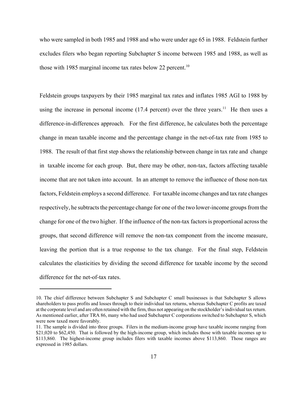who were sampled in both 1985 and 1988 and who were under age 65 in 1988. Feldstein further excludes filers who began reporting Subchapter S income between 1985 and 1988, as well as those with 1985 marginal income tax rates below 22 percent.<sup>10</sup>

Feldstein groups taxpayers by their 1985 marginal tax rates and inflates 1985 AGI to 1988 by using the increase in personal income (17.4 percent) over the three years.<sup>11</sup> He then uses a difference-in-differences approach. For the first difference, he calculates both the percentage change in mean taxable income and the percentage change in the net-of-tax rate from 1985 to 1988. The result of that first step shows the relationship between change in tax rate and change in taxable income for each group. But, there may be other, non-tax, factors affecting taxable income that are not taken into account. In an attempt to remove the influence of those non-tax factors, Feldstein employs a second difference. For taxable income changes and tax rate changes respectively, he subtracts the percentage change for one of the two lower-income groups from the change for one of the two higher. If the influence of the non-tax factors is proportional across the groups, that second difference will remove the non-tax component from the income measure, leaving the portion that is a true response to the tax change. For the final step, Feldstein calculates the elasticities by dividing the second difference for taxable income by the second difference for the net-of-tax rates.

<sup>10.</sup> The chief difference between Subchapter S and Subchapter C small businesses is that Subchapter S allows shareholders to pass profits and losses through to their individual tax returns, whereas Subchapter C profits are taxed at the corporate level and are often retained with the firm, thus not appearing on the stockholder's individual tax return. As mentioned earlier, after TRA 86, many who had used Subchapter C corporations switched to Subchapter S, which were now taxed more favorably.

<sup>11.</sup> The sample is divided into three groups. Filers in the medium-income group have taxable income ranging from \$21,020 to \$62,450. That is followed by the high-income group, which includes those with taxable incomes up to \$113,860. The highest-income group includes filers with taxable incomes above \$113,860. Those ranges are expressed in 1985 dollars.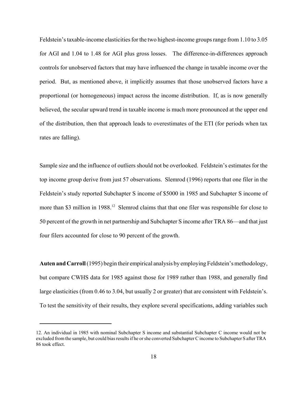Feldstein's taxable-income elasticities for the two highest-income groups range from 1.10 to 3.05 for AGI and 1.04 to 1.48 for AGI plus gross losses. The difference-in-differences approach controls for unobserved factors that may have influenced the change in taxable income over the period. But, as mentioned above, it implicitly assumes that those unobserved factors have a proportional (or homogeneous) impact across the income distribution. If, as is now generally believed, the secular upward trend in taxable income is much more pronounced at the upper end of the distribution, then that approach leads to overestimates of the ETI (for periods when tax rates are falling).

Sample size and the influence of outliers should not be overlooked. Feldstein's estimates for the top income group derive from just 57 observations. Slemrod (1996) reports that one filer in the Feldstein's study reported Subchapter S income of \$5000 in 1985 and Subchapter S income of more than \$3 million in 1988.<sup>12</sup> Slemrod claims that that one filer was responsible for close to 50 percent of the growth in net partnership and Subchapter S income after TRA 86—and that just four filers accounted for close to 90 percent of the growth.

Auten and Carroll (1995) begin their empirical analysis by employing Feldstein's methodology, but compare CWHS data for 1985 against those for 1989 rather than 1988, and generally find large elasticities (from 0.46 to 3.04, but usually 2 or greater) that are consistent with Feldstein's. To test the sensitivity of their results, they explore several specifications, adding variables such

<sup>12.</sup> An individual in 1985 with nominal Subchapter S income and substantial Subchapter C income would not be excluded from the sample, but could bias results if he or she converted Subchapter C income to Subchapter S after TRA 86 took effect.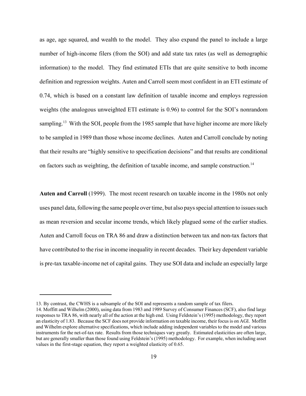as age, age squared, and wealth to the model. They also expand the panel to include a large number of high-income filers (from the SOI) and add state tax rates (as well as demographic information) to the model. They find estimated ETIs that are quite sensitive to both income definition and regression weights. Auten and Carroll seem most confident in an ETI estimate of 0.74, which is based on a constant law definition of taxable income and employs regression weights (the analogous unweighted ETI estimate is 0.96) to control for the SOI's nonrandom sampling.<sup>13</sup> With the SOI, people from the 1985 sample that have higher income are more likely to be sampled in 1989 than those whose income declines. Auten and Carroll conclude by noting that their results are "highly sensitive to specification decisions" and that results are conditional on factors such as weighting, the definition of taxable income, and sample construction.<sup>14</sup>

**Auten and Carroll** (1999). The most recent research on taxable income in the 1980s not only uses panel data, following the same people over time, but also pays special attention to issues such as mean reversion and secular income trends, which likely plagued some of the earlier studies. Auten and Carroll focus on TRA 86 and draw a distinction between tax and non-tax factors that have contributed to the rise in income inequality in recent decades. Their key dependent variable is pre-tax taxable-income net of capital gains. They use SOI data and include an especially large

<sup>13.</sup> By contrast, the CWHS is a subsample of the SOI and represents a random sample of tax filers.

<sup>14.</sup> Moffitt and Wilhelm (2000), using data from 1983 and 1989 Survey of Consumer Finances (SCF), also find large responses to TRA 86, with nearly all of the action at the high end. Using Feldstein's (1995) methodology, they report an elasticity of 1.83. Because the SCF does not provide information on taxable income, their focus is on AGI. Moffitt and Wilhelm explore alternative specifications, which include adding independent variables to the model and various instruments for the net-of-tax rate. Results from those techniques vary greatly. Estimated elasticities are often large, but are generally smaller than those found using Feldstein's (1995) methodology. For example, when including asset values in the first-stage equation, they report a weighted elasticity of 0.65.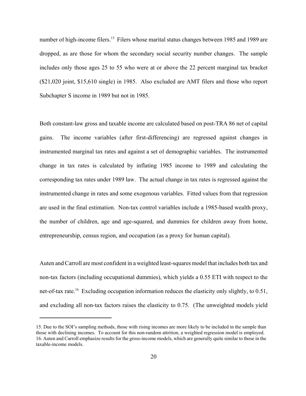number of high-income filers.<sup>15</sup> Filers whose marital status changes between 1985 and 1989 are dropped, as are those for whom the secondary social security number changes. The sample includes only those ages 25 to 55 who were at or above the 22 percent marginal tax bracket (\$21,020 joint, \$15,610 single) in 1985. Also excluded are AMT filers and those who report Subchapter S income in 1989 but not in 1985.

Both constant-law gross and taxable income are calculated based on post-TRA 86 net of capital gains. The income variables (after first-differencing) are regressed against changes in instrumented marginal tax rates and against a set of demographic variables. The instrumented change in tax rates is calculated by inflating 1985 income to 1989 and calculating the corresponding tax rates under 1989 law. The actual change in tax rates is regressed against the instrumented change in rates and some exogenous variables. Fitted values from that regression are used in the final estimation. Non-tax control variables include a 1985-based wealth proxy, the number of children, age and age-squared, and dummies for children away from home, entrepreneurship, census region, and occupation (as a proxy for human capital).

Auten andCarroll are most confident in a weighted least-squares model that includes both tax and non-tax factors (including occupational dummies), which yields a 0.55 ETI with respect to the net-of-tax rate.<sup>16</sup> Excluding occupation information reduces the elasticity only slightly, to 0.51, and excluding all non-tax factors raises the elasticity to 0.75. (The unweighted models yield

<sup>15.</sup> Due to the SOI's sampling methods, those with rising incomes are more likely to be included in the sample than those with declining incomes. To account for this non-random attrition, a weighted regression model is employed. 16. Auten and Carroll emphasize results for the gross-income models, which are generally quite similar to those in the taxable-income models.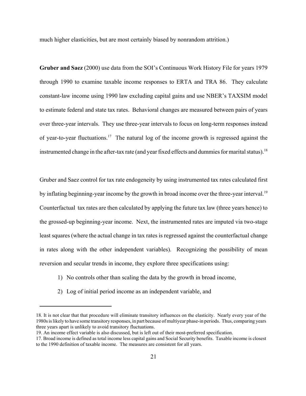much higher elasticities, but are most certainly biased by nonrandom attrition.)

**Gruber and Saez** (2000) use data from the SOI's Continuous Work History File for years 1979 through 1990 to examine taxable income responses to ERTA and TRA 86. They calculate constant-law income using 1990 law excluding capital gains and use NBER's TAXSIM model to estimate federal and state tax rates. Behavioral changes are measured between pairs of years over three-year intervals. They use three-year intervals to focus on long-term responses instead of year-to-year fluctuations.<sup>17</sup> The natural log of the income growth is regressed against the instrumented change in the after-tax rate (and year fixed effects and dummies for marital status).<sup>18</sup>

Gruber and Saez control for tax rate endogeneity by using instrumented tax rates calculated first by inflating beginning-year income by the growth in broad income over the three-year interval.<sup>19</sup> Counterfactual tax rates are then calculated by applying the future tax law (three years hence) to the grossed-up beginning-year income. Next, the instrumented rates are imputed via two-stage least squares (where the actual change in tax rates is regressed against the counterfactual change in rates along with the other independent variables). Recognizing the possibility of mean reversion and secular trends in income, they explore three specifications using:

- 1) No controls other than scaling the data by the growth in broad income,
- 2) Log of initial period income as an independent variable, and

<sup>18.</sup> It is not clear that that procedure will eliminate transitory influences on the elasticity. Nearly every year of the 1980s is likely to have some transitory responses, in part because of multiyear phase-in periods. Thus, comparing years three years apart is unlikely to avoid transitory fluctuations.

<sup>19.</sup> An income effect variable is also discussed, but is left out of their most-preferred specification.

<sup>17.</sup> Broad income is defined as total income less capital gains and Social Security benefits. Taxable income is closest to the 1990 definition of taxable income. The measures are consistent for all years.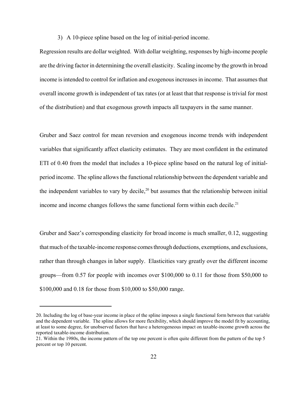3) A 10-piece spline based on the log of initial-period income.

Regression results are dollar weighted. With dollar weighting, responses by high-income people are the driving factor in determining the overall elasticity. Scaling income by the growth in broad income is intended to control for inflation and exogenous increases in income. That assumes that overall income growth is independent of tax rates (or at least that that response is trivial for most of the distribution) and that exogenous growth impacts all taxpayers in the same manner.

Gruber and Saez control for mean reversion and exogenous income trends with independent variables that significantly affect elasticity estimates. They are most confident in the estimated ETI of 0.40 from the model that includes a 10-piece spline based on the natural log of initialperiod income. The spline allows the functional relationship between the dependent variable and the independent variables to vary by decile,<sup>20</sup> but assumes that the relationship between initial income and income changes follows the same functional form within each decile.<sup>21</sup>

Gruber and Saez's corresponding elasticity for broad income is much smaller, 0.12, suggesting that much of the taxable-income response comes through deductions, exemptions, and exclusions, rather than through changes in labor supply. Elasticities vary greatly over the different income groups—from 0.57 for people with incomes over \$100,000 to 0.11 for those from \$50,000 to \$100,000 and 0.18 for those from \$10,000 to \$50,000 range.

<sup>20.</sup> Including the log of base-year income in place of the spline imposes a single functional form between that variable and the dependent variable. The spline allows for more flexibility, which should improve the model fit by accounting, at least to some degree, for unobserved factors that have a heterogeneous impact on taxable-income growth across the reported taxable-income distribution.

<sup>21.</sup> Within the 1980s, the income pattern of the top one percent is often quite different from the pattern of the top 5 percent or top 10 percent.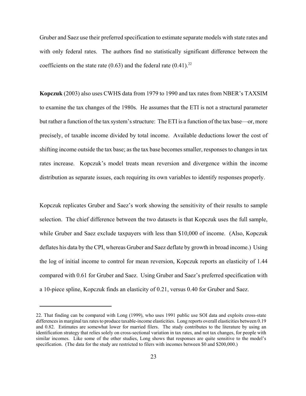Gruber and Saez use their preferred specification to estimate separate models with state rates and with only federal rates. The authors find no statistically significant difference between the coefficients on the state rate (0.63) and the federal rate (0.41).<sup>22</sup>

**Kopczuk** (2003) also uses CWHS data from 1979 to 1990 and tax rates from NBER's TAXSIM to examine the tax changes of the 1980s. He assumes that the ETI is not a structural parameter but rather a function of the tax system's structure: The ETI is a function of the tax base—or, more precisely, of taxable income divided by total income. Available deductions lower the cost of shifting income outside the tax base; as the tax base becomes smaller, responses to changes in tax rates increase. Kopczuk's model treats mean reversion and divergence within the income distribution as separate issues, each requiring its own variables to identify responses properly.

Kopczuk replicates Gruber and Saez's work showing the sensitivity of their results to sample selection. The chief difference between the two datasets is that Kopczuk uses the full sample, while Gruber and Saez exclude taxpayers with less than \$10,000 of income. (Also, Kopczuk deflates his data by the CPI, whereas Gruber and Saez deflate by growth in broad income.) Using the log of initial income to control for mean reversion, Kopczuk reports an elasticity of 1.44 compared with 0.61 for Gruber and Saez. Using Gruber and Saez's preferred specification with a 10-piece spline, Kopczuk finds an elasticity of 0.21, versus 0.40 for Gruber and Saez.

<sup>22.</sup> That finding can be compared with Long (1999), who uses 1991 public use SOI data and exploits cross-state differences in marginal tax rates to produce taxable-income elasticities. Long reports overall elasticities between 0.19 and 0.82. Estimates are somewhat lower for married filers. The study contributes to the literature by using an identification strategy that relies solely on cross-sectional variation in tax rates, and not tax changes, for people with similar incomes. Like some of the other studies, Long shows that responses are quite sensitive to the model's specification. (The data for the study are restricted to filers with incomes between \$0 and \$200,000.)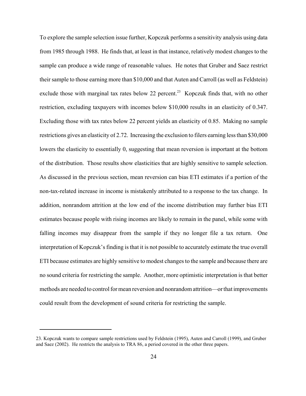To explore the sample selection issue further, Kopczuk performs a sensitivity analysis using data from 1985 through 1988. He finds that, at least in that instance, relatively modest changes to the sample can produce a wide range of reasonable values. He notes that Gruber and Saez restrict their sample to those earning more than \$10,000 and that Auten and Carroll (as well as Feldstein) exclude those with marginal tax rates below 22 percent.<sup>23</sup> Kopczuk finds that, with no other restriction, excluding taxpayers with incomes below \$10,000 results in an elasticity of 0.347. Excluding those with tax rates below 22 percent yields an elasticity of 0.85. Making no sample restrictions gives an elasticity of 2.72. Increasing the exclusion to filers earning less than \$30,000 lowers the elasticity to essentially 0, suggesting that mean reversion is important at the bottom of the distribution. Those results show elasticities that are highly sensitive to sample selection. As discussed in the previous section, mean reversion can bias ETI estimates if a portion of the non-tax-related increase in income is mistakenly attributed to a response to the tax change. In addition, nonrandom attrition at the low end of the income distribution may further bias ETI estimates because people with rising incomes are likely to remain in the panel, while some with falling incomes may disappear from the sample if they no longer file a tax return. One interpretation of Kopczuk's finding is that it is not possible to accurately estimate the true overall ETI because estimates are highly sensitive to modest changes to the sample and because there are no sound criteria for restricting the sample. Another, more optimistic interpretation is that better methods are needed to control for mean reversion and nonrandom attrition—or that improvements could result from the development of sound criteria for restricting the sample.

<sup>23.</sup> Kopczuk wants to compare sample restrictions used by Feldstein (1995), Auten and Carroll (1999), and Gruber and Saez (2002). He restricts the analysis to TRA 86, a period covered in the other three papers.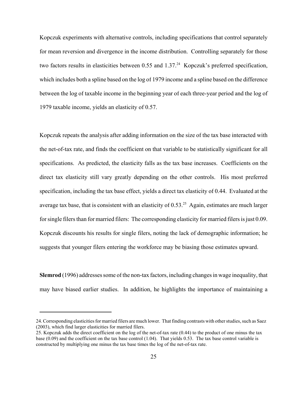Kopczuk experiments with alternative controls, including specifications that control separately for mean reversion and divergence in the income distribution. Controlling separately for those two factors results in elasticities between  $0.55$  and  $1.37<sup>24</sup>$  Kopczuk's preferred specification, which includes both a spline based on the log of 1979 income and a spline based on the difference between the log of taxable income in the beginning year of each three-year period and the log of 1979 taxable income, yields an elasticity of 0.57.

Kopczuk repeats the analysis after adding information on the size of the tax base interacted with the net-of-tax rate, and finds the coefficient on that variable to be statistically significant for all specifications. As predicted, the elasticity falls as the tax base increases. Coefficients on the direct tax elasticity still vary greatly depending on the other controls. His most preferred specification, including the tax base effect, yields a direct tax elasticity of 0.44. Evaluated at the average tax base, that is consistent with an elasticity of  $0.53<sup>25</sup>$  Again, estimates are much larger for single filers than for married filers: The corresponding elasticity for married filers is just 0.09. Kopczuk discounts his results for single filers, noting the lack of demographic information; he suggests that younger filers entering the workforce may be biasing those estimates upward.

**Slemrod** (1996) addresses some of the non-tax factors, including changes in wage inequality, that may have biased earlier studies. In addition, he highlights the importance of maintaining a

<sup>24.</sup> Corresponding elasticities for married filers are much lower. That finding contrasts with other studies, such as Saez (2003), which find larger elasticities for married filers.

<sup>25.</sup> Kopczuk adds the direct coefficient on the log of the net-of-tax rate (0.44) to the product of one minus the tax base (0.09) and the coefficient on the tax base control (1.04). That yields 0.53. The tax base control variable is constructed by multiplying one minus the tax base times the log of the net-of-tax rate.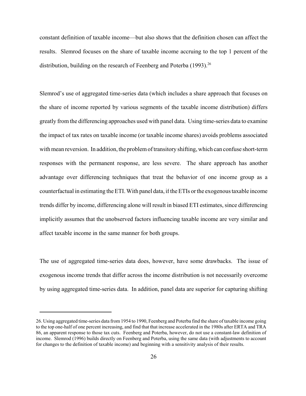constant definition of taxable income—but also shows that the definition chosen can affect the results. Slemrod focuses on the share of taxable income accruing to the top 1 percent of the distribution, building on the research of Feenberg and Poterba  $(1993)^{26}$ 

Slemrod's use of aggregated time-series data (which includes a share approach that focuses on the share of income reported by various segments of the taxable income distribution) differs greatly from the differencing approaches used with panel data. Using time-series data to examine the impact of tax rates on taxable income (or taxable income shares) avoids problems associated with mean reversion. In addition, the problem of transitory shifting, which can confuse short-term responses with the permanent response, are less severe. The share approach has another advantage over differencing techniques that treat the behavior of one income group as a counterfactual in estimating the ETI.With panel data, iftheETIs orthe exogenoustaxable income trends differ by income, differencing alone will result in biased ETI estimates, since differencing implicitly assumes that the unobserved factors influencing taxable income are very similar and affect taxable income in the same manner for both groups.

The use of aggregated time-series data does, however, have some drawbacks. The issue of exogenous income trends that differ across the income distribution is not necessarily overcome by using aggregated time-series data. In addition, panel data are superior for capturing shifting

<sup>26.</sup> Using aggregated time-series data from 1954 to 1990, Feenberg and Poterba find the share of taxable income going to the top one-half of one percent increasing, and find that that increase accelerated in the 1980s after ERTA and TRA 86, an apparent response to those tax cuts. Feenberg and Poterba, however, do not use a constant-law definition of income. Slemrod (1996) builds directly on Feenberg and Poterba, using the same data (with adjustments to account for changes to the definition of taxable income) and beginning with a sensitivity analysis of their results.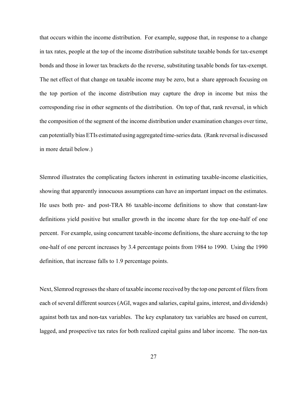that occurs within the income distribution. For example, suppose that, in response to a change in tax rates, people at the top of the income distribution substitute taxable bonds for tax-exempt bonds and those in lower tax brackets do the reverse, substituting taxable bonds for tax-exempt. The net effect of that change on taxable income may be zero, but a share approach focusing on the top portion of the income distribution may capture the drop in income but miss the corresponding rise in other segments of the distribution. On top of that, rank reversal, in which the composition of the segment of the income distribution under examination changes over time, can potentially biasETIs estimated using aggregated time-series data. (Rank reversal is discussed in more detail below.)

Slemrod illustrates the complicating factors inherent in estimating taxable-income elasticities, showing that apparently innocuous assumptions can have an important impact on the estimates. He uses both pre- and post-TRA 86 taxable-income definitions to show that constant-law definitions yield positive but smaller growth in the income share for the top one-half of one percent. For example, using concurrent taxable-income definitions, the share accruing to the top one-half of one percent increases by 3.4 percentage points from 1984 to 1990. Using the 1990 definition, that increase falls to 1.9 percentage points.

Next, Slemrod regresses the share of taxable income received by the top one percent of filers from each of several different sources (AGI, wages and salaries, capital gains, interest, and dividends) against both tax and non-tax variables. The key explanatory tax variables are based on current, lagged, and prospective tax rates for both realized capital gains and labor income. The non-tax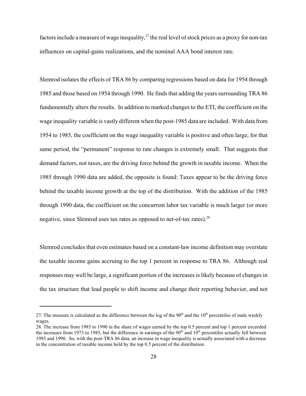factors include a measure of wage inequality,<sup>27</sup> the real level of stock prices as a proxy for non-tax influences on capital-gains realizations, and the nominal AAA bond interest rate.

Slemrod isolates the effects of TRA 86 by comparing regressions based on data for 1954 through 1985 and those based on 1954 through 1990. He finds that adding the years surrounding TRA 86 fundamentally alters the results. In addition to marked changes to the ETI, the coefficient on the wage inequality variable is vastly different when the post-1985 data are included. With data from 1954 to 1985, the coefficient on the wage inequality variable is positive and often large; for that same period, the "permanent" response to rate changes is extremely small. That suggests that demand factors, not taxes, are the driving force behind the growth in taxable income. When the 1985 through 1990 data are added, the opposite is found: Taxes appear to be the driving force behind the taxable income growth at the top of the distribution. With the addition of the 1985 through 1990 data, the coefficient on the concurrent labor tax variable is much larger (or more negative, since Slemrod uses tax rates as opposed to net-of-tax rates).<sup>28</sup>

Slemrod concludes that even estimates based on a constant-law income definition may overstate the taxable income gains accruing to the top 1 percent in response to TRA 86. Although real responses may well be large, a significant portion of the increases is likely because of changes in the tax structure that lead people to shift income and change their reporting behavior, and not

<sup>27.</sup> The measure is calculated as the difference between the log of the 90<sup>th</sup> and the  $10<sup>th</sup>$  percentiles of male weekly wages.

<sup>28.</sup> The increase from 1985 to 1990 in the share of wages earned by the top 0.5 percent and top 1 percent exceeded the increases from 1973 to 1985, but the difference in earnings of the  $90<sup>th</sup>$  and  $10<sup>th</sup>$  percentiles actually fell between 1985 and 1990. So, with the post-TRA 86 data, an increase in wage inequality is actually associated with a decrease in the concentration of taxable income held by the top 0.5 percent of the distribution.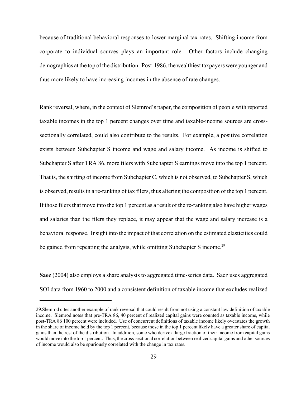because of traditional behavioral responses to lower marginal tax rates. Shifting income from corporate to individual sources plays an important role. Other factors include changing demographics at the top of the distribution. Post-1986, the wealthiest taxpayers were younger and thus more likely to have increasing incomes in the absence of rate changes.

Rank reversal, where, in the context of Slemrod's paper, the composition of people with reported taxable incomes in the top 1 percent changes over time and taxable-income sources are crosssectionally correlated, could also contribute to the results. For example, a positive correlation exists between Subchapter S income and wage and salary income. As income is shifted to Subchapter S after TRA 86, more filers with Subchapter S earnings move into the top 1 percent. That is, the shifting of income from Subchapter C, which is not observed, to Subchapter S, which is observed, resultsin a re-ranking of tax filers, thus altering the composition of the top 1 percent. If those filers that move into the top 1 percent as a result of the re-ranking also have higher wages and salaries than the filers they replace, it may appear that the wage and salary increase is a behavioral response. Insight into the impact of that correlation on the estimated elasticities could be gained from repeating the analysis, while omitting Subchapter S income.<sup>29</sup>

**Saez** (2004) also employs a share analysis to aggregated time-series data. Saez uses aggregated SOI data from 1960 to 2000 and a consistent definition of taxable income that excludes realized

<sup>29.</sup>Slemrod cites another example of rank reversal that could result from not using a constant law definition of taxable income. Slemrod notes that pre-TRA 86, 40 percent of realized capital gains were counted as taxable income, while post-TRA 86 100 percent were included. Use of concurrent definitions of taxable income likely overstates the growth in the share of income held by the top 1 percent, because those in the top 1 percent likely have a greater share of capital gains than the rest of the distribution. In addition, some who derive a large fraction of their income from capital gains would move into the top 1 percent. Thus, the cross-sectional correlation between realized capital gains and other sources of income would also be spuriously correlated with the change in tax rates.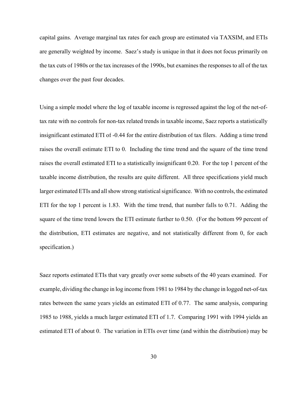capital gains. Average marginal tax rates for each group are estimated via TAXSIM, and ETIs are generally weighted by income. Saez's study is unique in that it does not focus primarily on the tax cuts of 1980s or the tax increases of the 1990s, but examinesthe responsesto all of the tax changes over the past four decades.

Using a simple model where the log of taxable income is regressed against the log of the net-oftax rate with no controls for non-tax related trends in taxable income, Saez reports a statistically insignificant estimated ETI of -0.44 for the entire distribution of tax filers. Adding a time trend raises the overall estimate ETI to 0. Including the time trend and the square of the time trend raises the overall estimated ETI to a statistically insignificant 0.20. For the top 1 percent of the taxable income distribution, the results are quite different. All three specifications yield much larger estimated ETIs and all show strong statistical significance. With no controls, the estimated ETI for the top 1 percent is 1.83. With the time trend, that number falls to 0.71. Adding the square of the time trend lowers the ETI estimate further to 0.50. (For the bottom 99 percent of the distribution, ETI estimates are negative, and not statistically different from 0, for each specification.)

Saez reports estimated ETIs that vary greatly over some subsets of the 40 years examined. For example, dividing the change in log income from 1981 to 1984 by the change in logged net-of-tax rates between the same years yields an estimated ETI of 0.77. The same analysis, comparing 1985 to 1988, yields a much larger estimated ETI of 1.7. Comparing 1991 with 1994 yields an estimated ETI of about 0. The variation in ETIs over time (and within the distribution) may be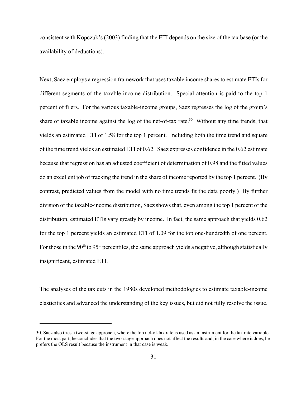consistent with Kopczuk's (2003) finding that the ETI depends on the size of the tax base (or the availability of deductions).

Next, Saez employs a regression framework that uses taxable income shares to estimate ETIs for different segments of the taxable-income distribution. Special attention is paid to the top 1 percent of filers. For the various taxable-income groups, Saez regresses the log of the group's share of taxable income against the log of the net-of-tax rate.<sup>30</sup> Without any time trends, that yields an estimated ETI of 1.58 for the top 1 percent. Including both the time trend and square of the time trend yields an estimated ETI of 0.62. Saez expresses confidence in the 0.62 estimate because that regression has an adjusted coefficient of determination of 0.98 and the fitted values do an excellent job of tracking the trend in the share of income reported by the top 1 percent. (By contrast, predicted values from the model with no time trends fit the data poorly.) By further division of the taxable-income distribution, Saez shows that, even among the top 1 percent of the distribution, estimated ETIs vary greatly by income. In fact, the same approach that yields 0.62 for the top 1 percent yields an estimated ETI of 1.09 for the top one-hundredth of one percent. For those in the 90<sup>th</sup> to 95<sup>th</sup> percentiles, the same approach yields a negative, although statistically insignificant, estimated ETI.

The analyses of the tax cuts in the 1980s developed methodologies to estimate taxable-income elasticities and advanced the understanding of the key issues, but did not fully resolve the issue.

<sup>30.</sup> Saez also tries a two-stage approach, where the top net-of-tax rate is used as an instrument for the tax rate variable. For the most part, he concludes that the two-stage approach does not affect the results and, in the case where it does, he prefers the OLS result because the instrument in that case is weak.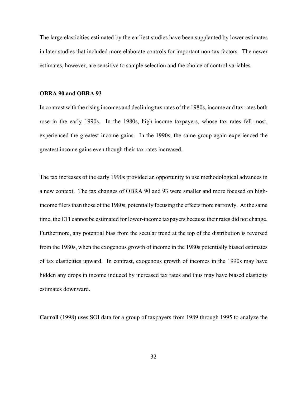The large elasticities estimated by the earliest studies have been supplanted by lower estimates in later studies that included more elaborate controls for important non-tax factors. The newer estimates, however, are sensitive to sample selection and the choice of control variables.

#### **OBRA 90 and OBRA 93**

In contrast with the rising incomes and declining tax rates of the 1980s, income and tax rates both rose in the early 1990s. In the 1980s, high-income taxpayers, whose tax rates fell most, experienced the greatest income gains. In the 1990s, the same group again experienced the greatest income gains even though their tax rates increased.

The tax increases of the early 1990s provided an opportunity to use methodological advances in a new context. The tax changes of OBRA 90 and 93 were smaller and more focused on highincome filers than those of the 1980s, potentially focusing the effects more narrowly. At the same time, the ETI cannot be estimated for lower-income taxpayers because their rates did not change. Furthermore, any potential bias from the secular trend at the top of the distribution is reversed from the 1980s, when the exogenous growth of income in the 1980s potentially biased estimates of tax elasticities upward. In contrast, exogenous growth of incomes in the 1990s may have hidden any drops in income induced by increased tax rates and thus may have biased elasticity estimates downward.

**Carroll** (1998) uses SOI data for a group of taxpayers from 1989 through 1995 to analyze the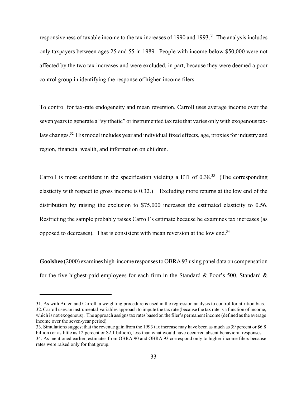responsiveness of taxable income to the tax increases of 1990 and 1993.<sup>31</sup> The analysis includes only taxpayers between ages 25 and 55 in 1989. People with income below \$50,000 were not affected by the two tax increases and were excluded, in part, because they were deemed a poor control group in identifying the response of higher-income filers.

To control for tax-rate endogeneity and mean reversion, Carroll uses average income over the seven years to generate a "synthetic" or instrumented tax rate that varies only with exogenous taxlaw changes.<sup>32</sup> His model includes year and individual fixed effects, age, proxies for industry and region, financial wealth, and information on children.

Carroll is most confident in the specification yielding a ETI of  $0.38$ <sup>33</sup> (The corresponding elasticity with respect to gross income is 0.32.) Excluding more returns at the low end of the distribution by raising the exclusion to \$75,000 increases the estimated elasticity to 0.56. Restricting the sample probably raises Carroll's estimate because he examines tax increases (as opposed to decreases). That is consistent with mean reversion at the low end.<sup>34</sup>

**Goolsbee** (2000) examines high-income responses to OBRA 93 using panel data on compensation for the five highest-paid employees for each firm in the Standard  $\&$  Poor's 500, Standard  $\&$ 

<sup>31.</sup> As with Auten and Carroll, a weighting procedure is used in the regression analysis to control for attrition bias. 32. Carroll uses an instrumental-variables approach to impute the tax rate (because the tax rate is a function of income, which is not exogenous). The approach assigns tax rates based on the filer's permanent income (defined as the average income over the seven-year period).

<sup>33.</sup> Simulations suggest that the revenue gain from the 1993 tax increase may have been as much as 39 percent or \$6.8 billion (or as little as 12 percent or \$2.1 billion), less than what would have occurred absent behavioral responses. 34. As mentioned earlier, estimates from OBRA 90 and OBRA 93 correspond only to higher-income filers because rates were raised only for that group.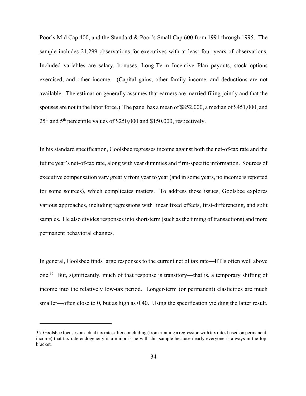Poor's Mid Cap 400, and the Standard & Poor's Small Cap 600 from 1991 through 1995. The sample includes 21,299 observations for executives with at least four years of observations. Included variables are salary, bonuses, Long-Term Incentive Plan payouts, stock options exercised, and other income. (Capital gains, other family income, and deductions are not available. The estimation generally assumes that earners are married filing jointly and that the spouses are not in the labor force.) The panel has a mean of \$852,000, a median of \$451,000, and  $25<sup>th</sup>$  and  $5<sup>th</sup>$  percentile values of \$250,000 and \$150,000, respectively.

In his standard specification, Goolsbee regresses income against both the net-of-tax rate and the future year's net-of-tax rate, along with year dummies and firm-specific information. Sources of executive compensation vary greatly from year to year (and in some years, no income is reported for some sources), which complicates matters. To address those issues, Goolsbee explores various approaches, including regressions with linear fixed effects, first-differencing, and split samples. He also divides responses into short-term (such as the timing of transactions) and more permanent behavioral changes.

In general, Goolsbee finds large responses to the current net of tax rate—ETIs often well above one.<sup>35</sup> But, significantly, much of that response is transitory—that is, a temporary shifting of income into the relatively low-tax period. Longer-term (or permanent) elasticities are much smaller—often close to 0, but as high as 0.40. Using the specification yielding the latter result,

<sup>35.</sup> Goolsbee focuses on actual tax rates after concluding (from running a regression with tax rates based on permanent income) that tax-rate endogeneity is a minor issue with this sample because nearly everyone is always in the top bracket.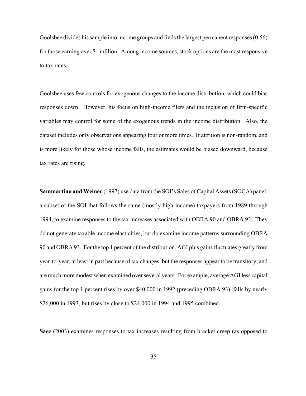Goolsbee divides his sample into income groups and finds the largest permanent responses (0.56) for those earning over \$1 million. Among income sources, stock options are the most responsive to tax rates.

Goolsbee uses few controls for exogenous changes to the income distribution, which could bias responses down. However, his focus on high-income filers and the inclusion of firm-specific variables may control for some of the exogenous trends in the income distribution. Also, the dataset includes only observations appearing four or more times. If attrition is non-random, and is more likely for those whose income falls, the estimates would be biased downward, because tax rates are rising.

**Sammartino and Weiner** (1997) use data from the SOI's Sales of Capital Assets(SOCA) panel, a subset of the SOI that follows the same (mostly high-income) taxpayers from 1989 through 1994, to examine responses to the tax increases associated with OBRA 90 and OBRA 93. They do not generate taxable income elasticities, but do examine income patterns surrounding OBRA 90 and OBRA 93. For the top 1 percent of the distribution, AGI plus gains fluctuates greatly from year-to-year, at least in part because of tax changes, but the responses appear to be transitory, and are much more modest when examined over several years. For example, average AGI less capital gains for the top 1 percent rises by over \$40,000 in 1992 (preceding OBRA 93), falls by nearly \$26,000 in 1993, but rises by close to \$24,000 in 1994 and 1995 combined.

**Saez** (2003) examines responses to tax increases resulting from bracket creep (as opposed to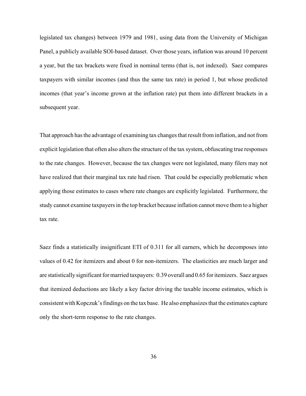legislated tax changes) between 1979 and 1981, using data from the University of Michigan Panel, a publicly available SOI-based dataset. Over those years, inflation was around 10 percent a year, but the tax brackets were fixed in nominal terms (that is, not indexed). Saez compares taxpayers with similar incomes (and thus the same tax rate) in period 1, but whose predicted incomes (that year's income grown at the inflation rate) put them into different brackets in a subsequent year.

That approach has the advantage of examining tax changes that result from inflation, and not from explicit legislation that often also alters the structure of the tax system, obfuscating true responses to the rate changes. However, because the tax changes were not legislated, many filers may not have realized that their marginal tax rate had risen. That could be especially problematic when applying those estimates to cases where rate changes are explicitly legislated. Furthermore, the study cannot examine taxpayers in the top bracket because inflation cannot move them to a higher tax rate.

Saez finds a statistically insignificant ETI of 0.311 for all earners, which he decomposes into values of 0.42 for itemizers and about 0 for non-itemizers. The elasticities are much larger and are statistically significant for married taxpayers: 0.39 overall and 0.65 for itemizers. Saez argues that itemized deductions are likely a key factor driving the taxable income estimates, which is consistent with Kopczuk'sfindings on the tax base. He also emphasizes that the estimates capture only the short-term response to the rate changes.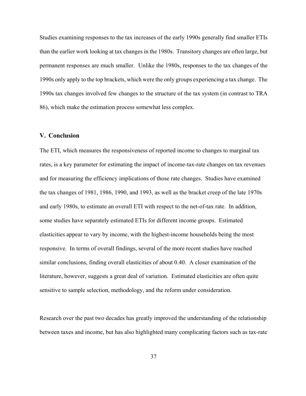Studies examining responses to the tax increases of the early 1990s generally find smaller ETIs than the earlier work looking at tax changes in the 1980s. Transitory changes are often large, but permanent responses are much smaller. Unlike the 1980s, responses to the tax changes of the 1990s only apply to the top brackets, which were the only groups experiencing a tax change. The 1990s tax changes involved few changes to the structure of the tax system (in contrast to TRA 86), which make the estimation process somewhat less complex.

### **V. Conclusion**

The ETI, which measures the responsiveness of reported income to changes to marginal tax rates, is a key parameter for estimating the impact of income-tax-rate changes on tax revenues and for measuring the efficiency implications of those rate changes. Studies have examined the tax changes of 1981, 1986, 1990, and 1993, as well as the bracket creep of the late 1970s and early 1980s, to estimate an overall ETI with respect to the net-of-tax rate. In addition, some studies have separately estimated ETIs for different income groups. Estimated elasticities appear to vary by income, with the highest-income households being the most responsive. In terms of overall findings, several of the more recent studies have reached similar conclusions, finding overall elasticities of about 0.40. A closer examination of the literature, however, suggests a great deal of variation. Estimated elasticities are often quite sensitive to sample selection, methodology, and the reform under consideration.

Research over the past two decades has greatly improved the understanding of the relationship between taxes and income, but has also highlighted many complicating factors such as tax-rate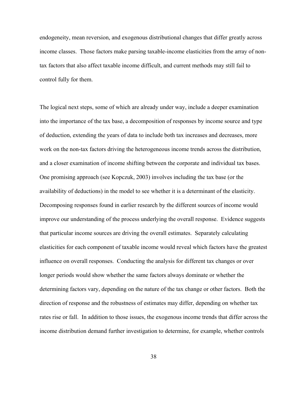endogeneity, mean reversion, and exogenous distributional changes that differ greatly across income classes. Those factors make parsing taxable-income elasticities from the array of nontax factors that also affect taxable income difficult, and current methods may still fail to control fully for them.

The logical next steps, some of which are already under way, include a deeper examination into the importance of the tax base, a decomposition of responses by income source and type of deduction, extending the years of data to include both tax increases and decreases, more work on the non-tax factors driving the heterogeneous income trends across the distribution, and a closer examination of income shifting between the corporate and individual tax bases. One promising approach (see Kopczuk, 2003) involves including the tax base (or the availability of deductions) in the model to see whether it is a determinant of the elasticity. Decomposing responses found in earlier research by the different sources of income would improve our understanding of the process underlying the overall response. Evidence suggests that particular income sources are driving the overall estimates. Separately calculating elasticities for each component of taxable income would reveal which factors have the greatest influence on overall responses. Conducting the analysis for different tax changes or over longer periods would show whether the same factors always dominate or whether the determining factors vary, depending on the nature of the tax change or other factors. Both the direction of response and the robustness of estimates may differ, depending on whether tax rates rise or fall. In addition to those issues, the exogenous income trends that differ across the income distribution demand further investigation to determine, for example, whether controls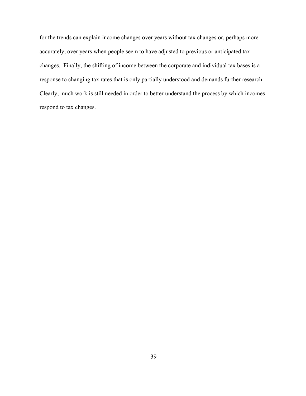for the trends can explain income changes over years without tax changes or, perhaps more accurately, over years when people seem to have adjusted to previous or anticipated tax changes. Finally, the shifting of income between the corporate and individual tax bases is a response to changing tax rates that is only partially understood and demands further research. Clearly, much work is still needed in order to better understand the process by which incomes respond to tax changes.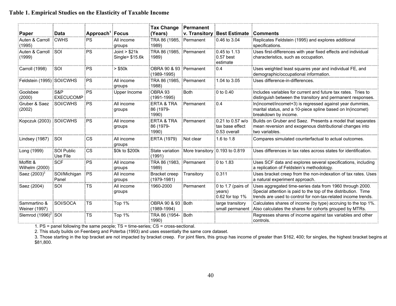# **Table 1. Empirical Studies on the Elasticity of Taxable Income**

| Paper                                  | ≣Data                           | $\frac{1}{2}$ Approach $^1$ Focus |                                                              | Tax Change Permanent<br>(Years)       |                                                    | v. Transitory Best Estimate Comments                                        |                                                                                                                                                                                               |
|----------------------------------------|---------------------------------|-----------------------------------|--------------------------------------------------------------|---------------------------------------|----------------------------------------------------|-----------------------------------------------------------------------------|-----------------------------------------------------------------------------------------------------------------------------------------------------------------------------------------------|
| Auten & Carroll ECWHS<br>(1995)        |                                 | ∃PS.<br>.                         | <b>EAII</b> income<br>groups                                 | TRA 86 (1985, Permanent<br>1989       |                                                    | $\frac{1}{2}0.46$ to 3.04                                                   | Replicates Feldstein (1995) and explores additional<br>specifications.                                                                                                                        |
| Auten & Carroll ESOI<br>(1999)         |                                 | PS                                | $\frac{1}{2}$ Joint > \$21k<br>$\frac{1}{2}$ Single> \$15.6k | TRA 86 (1985, Permanent<br>៖ 1989)    |                                                    | $\frac{1}{2}0.45$ to 1.13<br>$\frac{1}{2}0.57$ best<br>∃estimate            | Uses first-differences with year fixed effects and individual<br>characteristics, such as occupation.                                                                                         |
| Carroll (1998)                         | <b>ESOI</b>                     | PS                                | ∃> \$50k                                                     | OBRA 90 & 93 Permanent<br>(1989-1995) |                                                    | $E = 0.4$                                                                   | Uses weighted least squares year and individual FE, and<br>demographic/occupational information.                                                                                              |
| Feldstein (1995) SOI/CWHS              |                                 | PS                                | EAII income<br>groups                                        | TRA 86 (1985, Permanent<br>1988)      |                                                    | 1.04 to 3.05                                                                | Uses difference-in-differences.                                                                                                                                                               |
| Goolsbee<br>(2000)                     | ES&P<br>EXECUCOMP               | :PS                               | <b>EUpper Income</b>                                         | OBRA 93<br>$(1991 - 1995)$            | : Both                                             | $\frac{1}{2}0$ to 0.40                                                      | Includes variables for current and future tax rates. Tries to<br>distinguish between the transitory and permanent responses.                                                                  |
| Gruber & Saez<br>(2002)                | <b>ESOI/CWHS</b>                | :PS                               | EAII income<br>Eqroups                                       | ERTA & TRA<br>-86 (1979-<br>1990)     | ∃Permanent                                         | $\overline{0}$ :0.4                                                         | In(incomet/incomet+3) is regressed against year dummies,<br>marital status, and a 10-piece spline based on In(incomet)<br>breakdown by income.                                                |
| Kopczuk (2003) ESOI/CWHS               |                                 | PS                                | EAII income<br>∃groups                                       | ERTA & TRA<br>36 (1979-<br>1990)      | Permanent                                          | $\frac{1}{2}0.21$ to 0.57 w/o<br>tax base effect<br>:0.53 overall           | <b>Builds on Gruber and Saez. Presents a model that separates</b><br>mean reversion and exogenous distributional changes into<br>two variables                                                |
| Lindsey (1987)                         | ∃SOI                            | <b>CS</b>                         | ∃All income<br>groups<br>""""""""""                          | ERTA (1979):                          | Not clear                                          | $\frac{3}{2}$ 1.6 to 1.8                                                    | Compares simulated counterfactual to actual outcomes                                                                                                                                          |
| Long (1999)                            | <b>ESOI Public</b><br>Use File: | :CS                               | 50k to \$200k                                                | (1991)                                | State variation : More transitory : 0.193 to 0.819 |                                                                             | Uses differences in tax rates across states for identification.                                                                                                                               |
| Moffitt &<br>Wilhelm (2000)            | ∃SCF                            | ∃PS.                              | ∃All income<br>groups                                        | ∶TRA 86 (1983. ∶Permanent<br>1989)    |                                                    | <b>E0 to 1.83</b>                                                           | Uses SCF data and explores several specifications, including<br>a replication of Feldstein's methodology.                                                                                     |
| $\frac{1}{2}$ Saez (2003) <sup>3</sup> | SOI/Michigan PS<br>: Panel      | <b>BULLER</b>                     | ≣All income<br>groups<br>"                                   | Bracket creep<br>(1979-1981)          | <b>:Transitory</b><br>.                            | $\frac{1}{2}0.311$                                                          | Uses bracket creep from the non-indexation of tax rates. Uses<br>a natural experiment approach.                                                                                               |
| Saez (2004):                           | :SOI                            | TS                                | ∃All income<br>groups                                        | 1960-2000                             | : Permanent                                        | $\frac{1}{2}$ 0 to 1.7 (pairs of<br>Evears)<br>$\frac{1}{2}0.62$ for top 1% | : Uses aggregated time-series data from 1960 through 2000.<br>Special attention is paid to the top of the distribution. Time<br>trends are used to control for non-tax-related income trends. |
| Sammartino &<br>Weiner (1997)          | <b>ESOI/SOCA</b>                | TS                                | Top 1%                                                       | OBRA 90 & 93 Both<br>(1989-1994)      |                                                    | large transitory                                                            | Calculates shares of income (by type) accruing to the top 1%<br>small permanent and also calculates the shares for cohorts grouped by MTRs.                                                   |
| .Slemrod (1996) <sup>2</sup> ∃SOI      |                                 | :TS                               | $\frac{1}{2}$ Top 1%                                         | 1990)                                 |                                                    |                                                                             | Regresses shares of income against tax variables and other<br>Econtrols.                                                                                                                      |

1. PS = panel following the same people; TS = time-series; CS = cross-sectional.

2. This study builds on Feenberg and Poterba (1993) and uses essentially the same core dataset.

3. Those starting in the top bracket are not impacted by bracket creep. For joint filers, this group has income of greater than \$162, 400; for singles, the highest bracket begins at \$81,800.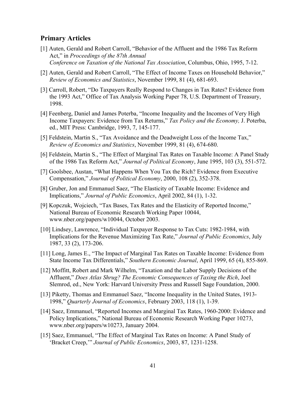## **Primary Articles**

- [1] Auten, Gerald and Robert Carroll, "Behavior of the Affluent and the 1986 Tax Reform Act," in *Proceedings of the 87th Annual Conference on Taxation of the National Tax Association*, Columbus, Ohio, 1995, 7-12.
- [2] Auten, Gerald and Robert Carroll, "The Effect of Income Taxes on Household Behavior," *Review of Economics and Statistics*, November 1999, 81 (4), 681-693.
- [3] Carroll, Robert, "Do Taxpayers Really Respond to Changes in Tax Rates? Evidence from the 1993 Act," Office of Tax Analysis Working Paper 78, U.S. Department of Treasury, 1998.
- [4] Feenberg, Daniel and James Poterba, "Income Inequality and the Incomes of Very High Income Taxpayers: Evidence from Tax Returns," *Tax Policy and the Economy,* J. Poterba, ed., MIT Press: Cambridge, 1993, 7, 145-177.
- [5] Feldstein, Martin S., "Tax Avoidance and the Deadweight Loss of the Income Tax," *Review of Economics and Statistics*, November 1999, 81 (4), 674-680.
- [6] Feldstein, Martin S., "The Effect of Marginal Tax Rates on Taxable Income: A Panel Study of the 1986 Tax Reform Act," *Journal of Political Economy*, June 1995, 103 (3), 551-572.
- [7] Goolsbee, Austan, "What Happens When You Tax the Rich? Evidence from Executive Compensation," *Journal of Political Economy*, 2000, 108 (2), 352-378.
- [8] Gruber, Jon and Emmanuel Saez, "The Elasticity of Taxable Income: Evidence and Implications," *Journal of Public Economics*, April 2002, 84 (1), 1-32.
- [9] Kopczuk, Wojciech, "Tax Bases, Tax Rates and the Elasticity of Reported Income," National Bureau of Economic Research Working Paper 10044, www.nber.org/papers/w10044, October 2003.
- [10] Lindsey, Lawrence, "Individual Taxpayer Response to Tax Cuts: 1982-1984, with Implications for the Revenue Maximizing Tax Rate," *Journal of Public Economics*, July 1987, 33 (2), 173-206.
- [11] Long, James E., "The Impact of Marginal Tax Rates on Taxable Income: Evidence from State Income Tax Differentials," *Southern Economic Journal*, April 1999, 65 (4), 855-869.
- [12] Moffitt, Robert and Mark Wilhelm, "Taxation and the Labor Supply Decisions of the Affluent," *Does Atlas Shrug? The Economic Consequences of Taxing the Rich*, Joel Slemrod, ed., New York: Harvard University Press and Russell Sage Foundation, 2000.
- [13] Piketty, Thomas and Emmanuel Saez, "Income Inequality in the United States, 1913- 1998," *Quarterly Journal of Economics*, February 2003, 118 (1), 1-39.
- [14] Saez, Emmanuel, "Reported Incomes and Marginal Tax Rates, 1960-2000: Evidence and Policy Implications," National Bureau of Economic Research Working Paper 10273, www.nber.org/papers/w10273, January 2004.
- [15] Saez, Emmanuel, "The Effect of Marginal Tax Rates on Income: A Panel Study of 'Bracket Creep,'" *Journal of Public Economics*, 2003, 87, 1231-1258.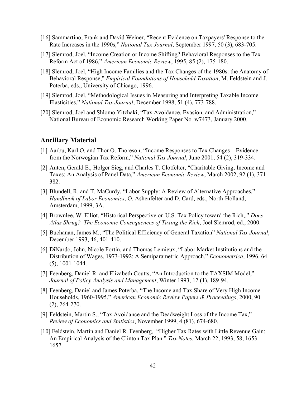- [16] Sammartino, Frank and David Weiner, "Recent Evidence on Taxpayers' Response to the Rate Increases in the 1990s," *National Tax Journal*, September 1997, 50 (3), 683-705.
- [17] Slemrod, Joel, "Income Creation or Income Shifting? Behavioral Responses to the Tax Reform Act of 1986," *American Economic Review*, 1995, 85 (2), 175-180.
- [18] Slemrod, Joel, "High Income Families and the Tax Changes of the 1980s: the Anatomy of Behavioral Response," *Empirical Foundations of Household Taxation*, M. Feldstein and J. Poterba, eds., University of Chicago, 1996.
- [19] Slemrod, Joel, "Methodological Issues in Measuring and Interpreting Taxable Income Elasticities," *National Tax Journal*, December 1998, 51 (4), 773-788.
- [20] Slemrod, Joel and Shlomo Yitzhaki, "Tax Avoidance, Evasion, and Administration," National Bureau of Economic Research Working Paper No. w7473, January 2000.

### **Ancillary Material**

- [1] Aarbu, Karl O. and Thor O. Thoreson, "Income Responses to Tax Changes—Evidence from the Norwegian Tax Reform," *National Tax Journal*, June 2001, 54 (2), 319-334.
- [2] Auten, Gerald E., Holger Sieg, and Charles T. Clotfelter, "Charitable Giving, Income and Taxes: An Analysis of Panel Data," *American Economic Review*, March 2002, 92 (1), 371- 382.
- [3] Blundell, R. and T. MaCurdy, "Labor Supply: A Review of Alternative Approaches," *Handbook of Labor Economics*, O. Ashenfelter and D. Card, eds., North-Holland, Amsterdam, 1999, 3A.
- [4] Brownlee, W. Elliot, "Historical Perspective on U.S. Tax Policy toward the Rich,." *Does Atlas Shrug? The Economic Consequences of Taxing the Rich*, Joel Slemrod, ed., 2000.
- [5] Buchanan, James M., "The Political Efficiency of General Taxation" *National Tax Journal*, December 1993, 46, 401-410.
- [6] DiNardo, John, Nicole Fortin, and Thomas Lemieux, "Labor Market Institutions and the Distribution of Wages, 1973-1992: A Semiparametric Approach." *Econometrica*, 1996, 64 (5), 1001-1044.
- [7] Feenberg, Daniel R. and Elizabeth Coutts, "An Introduction to the TAXSIM Model," *Journal of Policy Analysis and Management*, Winter 1993, 12 (1), 189-94.
- [8] Feenberg, Daniel and James Poterba, "The Income and Tax Share of Very High Income Households, 1960-1995," *American Economic Review Papers & Proceedings*, 2000, 90 (2), 264-270.
- [9] Feldstein, Martin S., "Tax Avoidance and the Deadweight Loss of the Income Tax," *Review of Economics and Statistics*, November 1999, 4 (81), 674-680.
- [10] Feldstein, Martin and Daniel R. Feenberg, "Higher Tax Rates with Little Revenue Gain: An Empirical Analysis of the Clinton Tax Plan." *Tax Notes*, March 22, 1993, 58, 1653- 1657.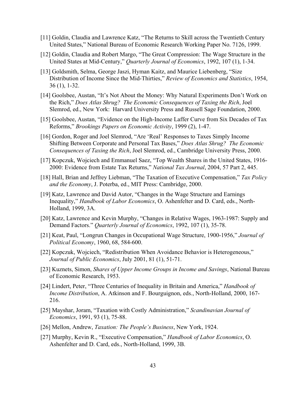- [11] Goldin, Claudia and Lawrence Katz, "The Returns to Skill across the Twentieth Century United States," National Bureau of Economic Research Working Paper No. 7126, 1999.
- [12] Goldin, Claudia and Robert Margo, "The Great Compression: The Wage Structure in the United States at Mid-Century," *Quarterly Journal of Economics*, 1992, 107 (1), 1-34.
- [13] Goldsmith, Selma, George Jaszi, Hyman Kaitz, and Maurice Liebenberg, "Size Distribution of Income Since the Mid-Thirties," *Review of Economics and Statistics*, 1954, 36 (1), 1-32.
- [14] Goolsbee, Austan, "It's Not About the Money: Why Natural Experiments Don't Work on the Rich," *Does Atlas Shrug? The Economic Consequences of Taxing the Rich*, Joel Slemrod, ed., New York: Harvard University Press and Russell Sage Foundation, 2000.
- [15] Goolsbee, Austan, "Evidence on the High-Income Laffer Curve from Six Decades of Tax Reforms," *Brookings Papers on Economic Activity*, 1999 (2), 1-47.
- [16] Gordon, Roger and Joel Slemrod, "Are 'Real' Responses to Taxes Simply Income Shifting Between Corporate and Personal Tax Bases," *Does Atlas Shrug? The Economic Consequences of Taxing the Rich*, Joel Slemrod, ed., Cambridge University Press, 2000.
- [17] Kopczuk, Wojciech and Emmanuel Saez, "Top Wealth Shares in the United States, 1916- 2000: Evidence from Estate Tax Returns," *National Tax Journal*, 2004, 57 Part 2, 445.
- [18] Hall, Brian and Jeffrey Liebman, "The Taxation of Executive Compensation," *Tax Policy and the Economy*, J. Poterba, ed., MIT Press: Cambridge, 2000.
- [19] Katz, Lawrence and David Autor, "Changes in the Wage Structure and Earnings Inequality," *Handbook of Labor Economics*, O. Ashenfelter and D. Card, eds., North-Holland, 1999, 3A.
- [20] Katz, Lawrence and Kevin Murphy, "Changes in Relative Wages, 1963-1987: Supply and Demand Factors." *Quarterly Journal of Economics*, 1992, 107 (1), 35-78.
- [21] Keat, Paul, "Longrun Changes in Occupational Wage Structure, 1900-1956," *Journal of Political Economy*, 1960, 68, 584-600.
- [22] Kopczuk, Wojciech, "Redistribution When Avoidance Behavior is Heterogeneous," *Journal of Public Economics*, July 2001, 81 (1), 51-71.
- [23] Kuznets, Simon, *Shares of Upper Income Groups in Income and Savings*, National Bureau of Economic Research, 1953.
- [24] Lindert, Peter, "Three Centuries of Inequality in Britain and America," *Handbook of Income Distribution*, A. Atkinson and F. Bourguignon, eds., North-Holland, 2000, 167- 216.
- [25] Mayshar, Joram, "Taxation with Costly Administration," *Scandinavian Journal of Economics*, 1991, 93 (1), 75-88.
- [26] Mellon, Andrew, *Taxation: The People's Business*, New York, 1924.
- [27] Murphy, Kevin R., "Executive Compensation," *Handbook of Labor Economics*, O. Ashenfelter and D. Card, eds., North-Holland, 1999, 3B.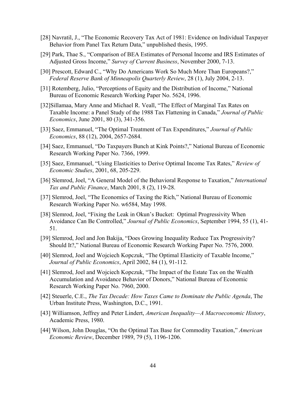- [28] Navratil, J., "The Economic Recovery Tax Act of 1981: Evidence on Individual Taxpayer Behavior from Panel Tax Return Data," unpublished thesis, 1995.
- [29] Park, Thae S., "Comparison of BEA Estimates of Personal Income and IRS Estimates of Adjusted Gross Income," *Survey of Current Business*, November 2000, 7-13.
- [30] Prescott, Edward C., "Why Do Americans Work So Much More Than Europeans?," *Federal Reserve Bank of Minneapolis Quarterly Review*, 28 (1), July 2004, 2-13.
- [31] Rotemberg, Julio, "Perceptions of Equity and the Distribution of Income," National Bureau of Economic Research Working Paper No. 5624, 1996.
- [32]Sillamaa, Mary Anne and Michael R. Veall, "The Effect of Marginal Tax Rates on Taxable Income: a Panel Study of the 1988 Tax Flattening in Canada," *Journal of Public Economics*, June 2001, 80 (3), 341-356.
- [33] Saez, Emmanuel, "The Optimal Treatment of Tax Expenditures," *Journal of Public Economics*, 88 (12), 2004, 2657-2684.
- [34] Saez, Emmanuel, "Do Taxpayers Bunch at Kink Points?," National Bureau of Economic Research Working Paper No. 7366, 1999.
- [35] Saez, Emmanuel, "Using Elasticities to Derive Optimal Income Tax Rates," *Review of Economic Studies*, 2001, 68, 205-229.
- [36] Slemrod, Joel, "A General Model of the Behavioral Response to Taxation," *International Tax and Public Finance*, March 2001, 8 (2), 119-28.
- [37] Slemrod, Joel, "The Economics of Taxing the Rich," National Bureau of Economic Research Working Paper No. w6584, May 1998.
- [38] Slemrod, Joel, "Fixing the Leak in Okun's Bucket: Optimal Progressivity When Avoidance Can Be Controlled," *Journal of Public Economics*, September 1994, 55 (1), 41- 51.
- [39] Slemrod, Joel and Jon Bakija, "Does Growing Inequality Reduce Tax Progressivity? Should It?," National Bureau of Economic Research Working Paper No. 7576, 2000.
- [40] Slemrod, Joel and Wojciech Kopczuk, "The Optimal Elasticity of Taxable Income," *Journal of Public Economics*, April 2002, 84 (1), 91-112.
- [41] Slemrod, Joel and Wojciech Kopczuk, "The Impact of the Estate Tax on the Wealth Accumulation and Avoidance Behavior of Donors," National Bureau of Economic Research Working Paper No. 7960, 2000.
- [42] Steuerle, C.E., *The Tax Decade: How Taxes Came to Dominate the Public Agenda*, The Urban Institute Press, Washington, D.C., 1991.
- [43] Williamson, Jeffrey and Peter Lindert, *American Inequality—A Macroeconomic History*, Academic Press, 1980.
- [44] Wilson, John Douglas, "On the Optimal Tax Base for Commodity Taxation," *American Economic Review*, December 1989, 79 (5), 1196-1206.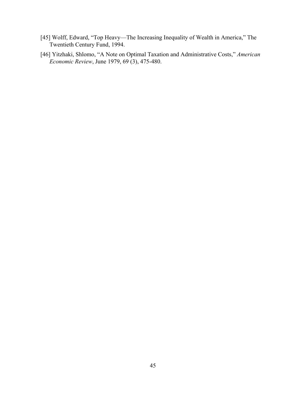- [45] Wolff, Edward, "Top Heavy—The Increasing Inequality of Wealth in America," The Twentieth Century Fund, 1994.
- [46] Yitzhaki, Shlomo, "A Note on Optimal Taxation and Administrative Costs," *American Economic Review*, June 1979, 69 (3), 475-480.